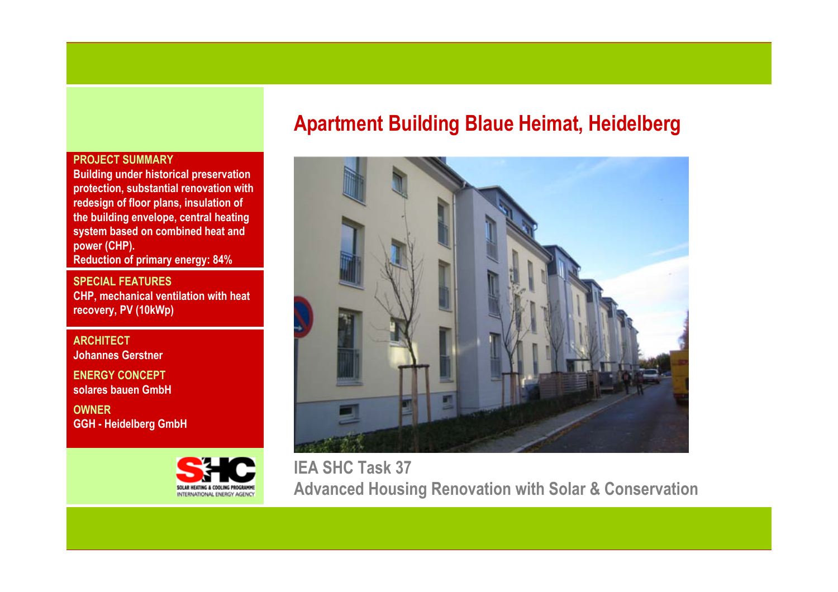# **Apartment Building Blaue Heimat, Heidelberg**



**IEA SHC Task 37 Advanced Housing Renovation with Solar & Conservation**

# **PROJECT SUMMARY**

**Building under historical preservation protection, substantial renovation with redesign of floor plans, insulation of the building envelope, central heating system based on combined heat and power (CHP).** 

**Reduction of primary energy: 84%**

**SPECIAL FEATURESCHP, mechanical ventilation with heat recovery, PV (10kWp)**

**ARCHITECTJohannes GerstnerENERGY CONCEPTsolares bauen GmbHOWNER**

**GGH - Heidelberg GmbH**

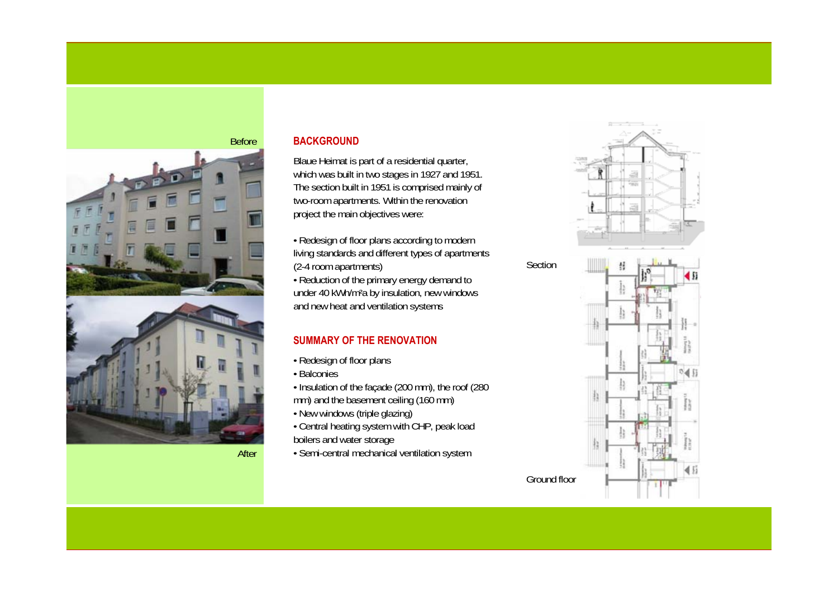

After

### **BACKGROUND**

Blaue Heimat is part of a residential quarter, which was built in two stages in 1927 and 1951. The section built in 1951 is comprised mainly of two-room apartments. Within the renovation project the main objectives were:

• Redesign of floor plans according to modern living standards and different types of apartments (2-4 room apartments)

• Reduction of the primary energy demand to under 40 kWh/m²a by insulation, new windows and new heat and ventilation systems

# **SUMMARY OF THE RENOVATION**

- Redesign of floor plans
- Balconies
- Insulation of the façade (200 mm), the roof (280 mm) and the basement ceiling (160 mm)
- New windows (triple glazing)
- Central heating system with CHP, peak load boilers and water storage
- Semi-central mechanical ventilation system

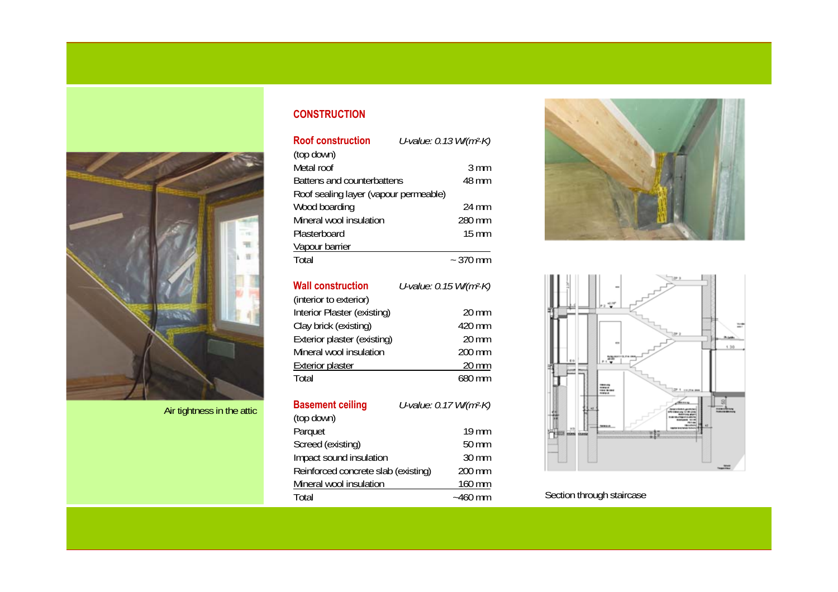

Air tightness in the attic

#### **CONSTRUCTION**

| <b>Roof construction</b>              |  | U-value: 0.13 W/(m <sup>2</sup> ·K) |
|---------------------------------------|--|-------------------------------------|
| (top down)                            |  |                                     |
| Metal roof                            |  | $3 \text{ mm}$                      |
| Battens and counterbattens            |  | 48 mm                               |
| Roof sealing layer (vapour permeable) |  |                                     |
| Wood boarding                         |  | 24 mm                               |
| Mineral wool insulation               |  | 280 mm                              |
| Plasterboard                          |  | 15 mm                               |
| Vapour barrier                        |  |                                     |
| Total                                 |  | $\sim$ 370 mm                       |

| <b>Wall construction</b>    | U-value: 0.15 W/(m <sup>2</sup> ·K) |
|-----------------------------|-------------------------------------|
| (interior to exterior)      |                                     |
| Interior Plaster (existing) | $20 \text{ mm}$                     |
| Clay brick (existing)       | 420 mm                              |
| Exterior plaster (existing) | $20 \text{ mm}$                     |
| Mineral wool insulation     | 200 mm                              |
| <b>Exterior plaster</b>     | 20 mm                               |
| Total                       | 680 mm                              |

| <b>Basement ceiling</b>             | U-value: 0.17 W/(m <sup>2</sup> ·K) |  |
|-------------------------------------|-------------------------------------|--|
| (top down)                          |                                     |  |
| Parquet                             | $19 \text{ mm}$                     |  |
| Screed (existing)                   | 50 mm                               |  |
| Impact sound insulation             | $30 \text{ mm}$                     |  |
| Reinforced concrete slab (existing) | 200 mm                              |  |
| Mineral wool insulation             | 160 mm                              |  |
| Total                               | $~1460$ mm                          |  |





Section through staircase